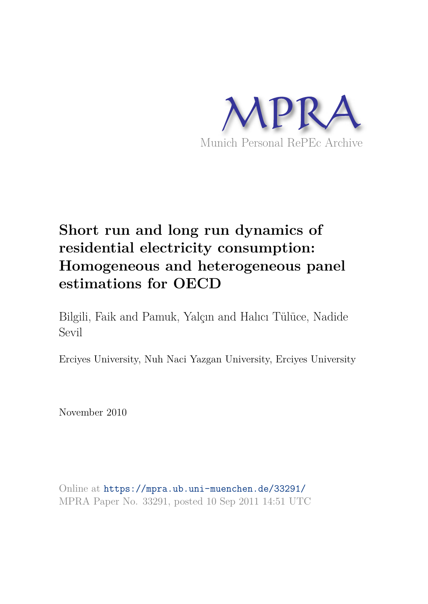

# **Short run and long run dynamics of residential electricity consumption: Homogeneous and heterogeneous panel estimations for OECD**

Bilgili, Faik and Pamuk, Yalçın and Halıcı Tülüce, Nadide Sevil

Erciyes University, Nuh Naci Yazgan University, Erciyes University

November 2010

Online at https://mpra.ub.uni-muenchen.de/33291/ MPRA Paper No. 33291, posted 10 Sep 2011 14:51 UTC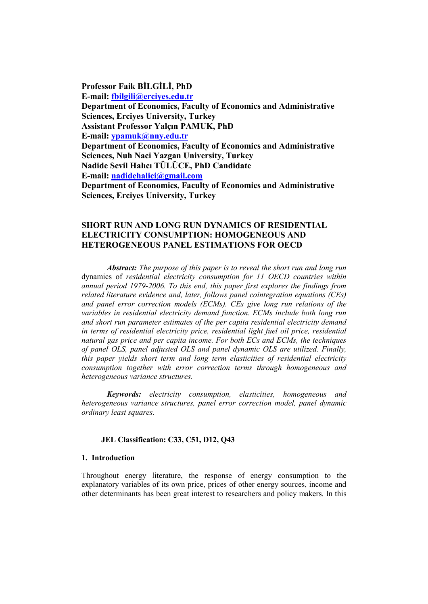**Professor Faik BİLGİLİ, PhD Email: fbilgili@erciyes.edu.tr Department of Economics, Faculty of Economics and Administrative Sciences, Erciyes University, Turkey Assistant Professor Yalçın PAMUK, PhD E-mail:** ypamuk@nny.edu.tr **Department of Economics, Faculty of Economics and Administrative Sciences, Nuh Naci Yazgan University, Turkey Nadide Sevil Halıcı TÜLÜCE, PhD Candidate Email: nadidehalici@gmail.com Department of Economics, Faculty of Economics and Administrative Sciences, Erciyes University, Turkey** 

## **SHORT RUN AND LONG RUN DYNAMICS OF RESIDENTIAL ELECTRICITY CONSUMPTION: HOMOGENEOUS AND HETEROGENEOUS PANEL ESTIMATIONS FOR OECD**

*Abstract: The purpose of this paper is to reveal the short run and long run* dynamics of residential electricity consumption for 11 OECD countries within annual period 1979-2006. To this end, this paper first explores the findings from *related literature evidence and, later, follows panel cointegration equations (CEs) and panel error correction models (ECMs). CEs give long run relations of the variables in residential electricity demand function. ECMs include both long run and short run parameter estimates of the per capita residential electricity demand in terms of residential electricity price, residential light fuel oil price, residential natural gas price and per capita income. For both ECs and ECMs, the techniques of panel OLS, panel adjusted OLS and panel dynamic OLS are utilized. Finally, this paper yields short term and long term elasticities of residential electricity consumption together with error correction terms through homogeneous and heterogeneous variance structures.* 

*Keywords: electricity consumption, elasticities, homogeneous and heterogeneous variance structures, panel error correction model, panel dynamic ordinary least squares.* 

### **JEL Classification: C33, C51, D12, Q43**

#### **1. Introduction**

Throughout energy literature, the response of energy consumption to the explanatory variables of its own price, prices of other energy sources, income and other determinants has been great interest to researchers and policy makers. In this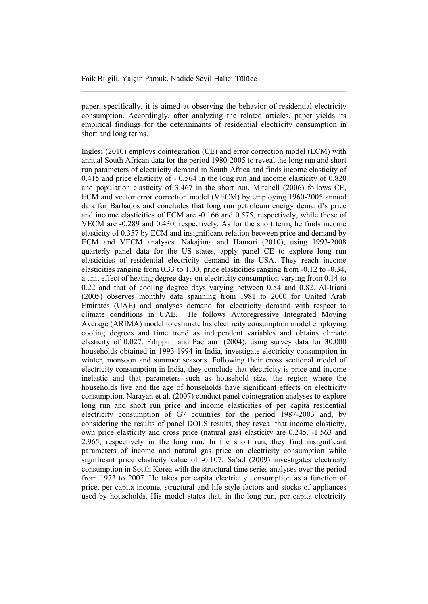paper, specifically, it is aimed at observing the behavior of residential electricity consumption. Accordingly, after analyzing the related articles, paper yields its empirical findings for the determinants of residential electricity consumption in short and long terms.

Inglesi (2010) employs cointegration (CE) and error correction model (ECM) with annual South African data for the period 1980-2005 to reveal the long run and short run parameters of electricity demand in South Africa and finds income elasticity of  $0.415$  and price elasticity of  $-0.564$  in the long run and income elasticity of  $0.820$ and population elasticity of 3.467 in the short run. Mitchell (2006) follows CE, ECM and vector error correction model (VECM) by employing 1960-2005 annual data for Barbados and concludes that long run petroleum energy demand's price and income elasticities of ECM are -0.166 and 0.575, respectively, while those of VECM are -0.289 and 0.430, respectively. As for the short term, he finds income elasticity of 0.357 by ECM and insignificant relation between price and demand by ECM and VECM analyses. Nakajima and Hamori (2010), using 1993-2008 quarterly panel data for the US states, apply panel CE to explore long run elasticities of residential electricity demand in the USA. They reach income elasticities ranging from 0.33 to 1.00, price elasticities ranging from -0.12 to -0.34, a unit effect of heating degree days on electricity consumption varying from 0.14 to  $0.22$  and that of cooling degree days varying between 0.54 and 0.82. Al-Iriani (2005) observes monthly data spanning from 1981 to 2000 for United Arab Emirates (UAE) and analyses demand for electricity demand with respect to climate conditions in UAE. He follows Autoregressive Integrated Moving Average (ARIMA) model to estimate his electricity consumption model employing cooling degrees and time trend as independent variables and obtains climate elasticity of 0.027. Filippini and Pachauri (2004), using survey data for 30.000 households obtained in 1993-1994 in India, investigate electricity consumption in winter, monsoon and summer seasons. Following their cross sectional model of electricity consumption in India, they conclude that electricity is price and income inelastic and that parameters such as household size, the region where the households live and the age of households have significant effects on electricity consumption. Narayan et al. (2007) conduct panel cointegration analyses to explore long run and short run price and income elasticities of per capita residential electricity consumption of G7 countries for the period 1987-2003 and, by considering the results of panel DOLS results, they reveal that income elasticity, own price elasticity and cross price (natural gas) elasticity are 0.245, -1.563 and 2.965, respectively in the long run. In the short run, they find insignificant parameters of income and natural gas price on electricity consumption while significant price elasticity value of  $-0.107$ . Sa'ad (2009) investigates electricity consumption in South Korea with the structural time series analyses over the period from 1973 to 2007. He takes per capita electricity consumption as a function of price, per capita income, structural and life style factors and stocks of appliances used by households. His model states that, in the long run, per capita electricity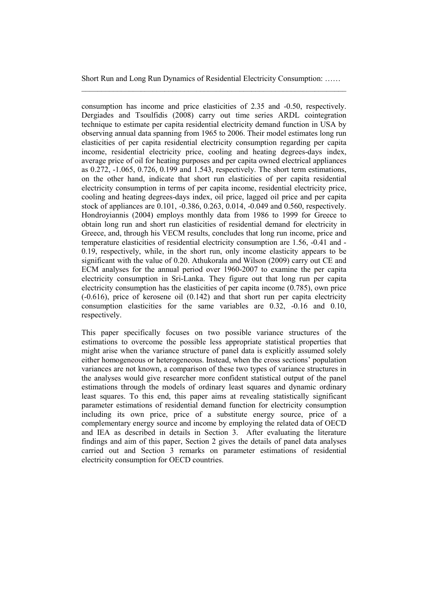consumption has income and price elasticities of 2.35 and -0.50, respectively. Dergiades and Tsoulfidis (2008) carry out time series ARDL cointegration technique to estimate per capita residential electricity demand function in USA by observing annual data spanning from 1965 to 2006. Their model estimates long run elasticities of per capita residential electricity consumption regarding per capita income, residential electricity price, cooling and heating degrees-days index, average price of oil for heating purposes and per capita owned electrical appliances as 0.272, -1.065, 0.726, 0.199 and 1.543, respectively. The short term estimations, on the other hand, indicate that short run elasticities of per capita residential electricity consumption in terms of per capita income, residential electricity price, cooling and heating degrees-days index, oil price, lagged oil price and per capita stock of appliances are 0.101, -0.386, 0.263, 0.014, -0.049 and 0.560, respectively. Hondroyiannis (2004) employs monthly data from 1986 to 1999 for Greece to obtain long run and short run elasticities of residential demand for electricity in Greece, and, through his VECM results, concludes that long run income, price and temperature elasticities of residential electricity consumption are 1.56, -0.41 and -0.19, respectively, while, in the short run, only income elasticity appears to be significant with the value of 0.20. Athukorala and Wilson (2009) carry out CE and ECM analyses for the annual period over 1960-2007 to examine the per capita electricity consumption in Sri-Lanka. They figure out that long run per capita electricity consumption has the elasticities of per capita income  $(0.785)$ , own price  $(-0.616)$ , price of kerosene oil  $(0.142)$  and that short run per capita electricity consumption elasticities for the same variables are  $0.32$ ,  $-0.16$  and  $0.10$ , respectively.

This paper specifically focuses on two possible variance structures of the estimations to overcome the possible less appropriate statistical properties that might arise when the variance structure of panel data is explicitly assumed solely either homogeneous or heterogeneous. Instead, when the cross sections' population variances are not known, a comparison of these two types of variance structures in the analyses would give researcher more confident statistical output of the panel estimations through the models of ordinary least squares and dynamic ordinary least squares. To this end, this paper aims at revealing statistically significant parameter estimations of residential demand function for electricity consumption including its own price, price of a substitute energy source, price of a complementary energy source and income by employing the related data of OECD and IEA as described in details in Section 3. After evaluating the literature findings and aim of this paper, Section 2 gives the details of panel data analyses carried out and Section 3 remarks on parameter estimations of residential electricity consumption for OECD countries.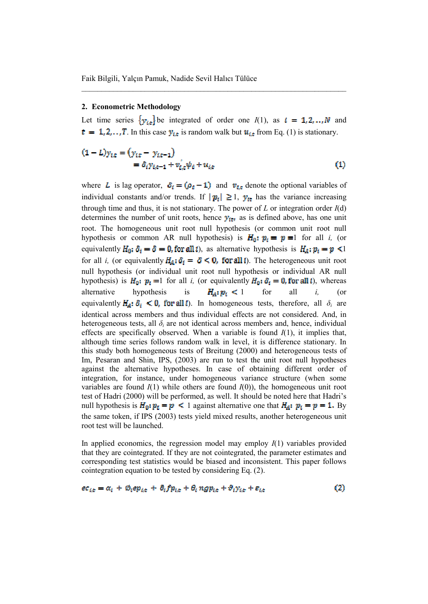#### 2. Econometric Methodology

Let time series  $\{y_{i,t}\}$  be integrated of order one  $I(1)$ , as  $i = 1, 2, ..., N$  and  $t = 1, 2, \dots, T$ . In this case  $y_{i,t}$  is random walk but  $u_{i,t}$  from Eq. (1) is stationary.

$$
(1 - L)y_{i,t} = (y_{i,t} - y_{i,t-1})
$$
  
=  $\delta_i y_{i,t-1} + v'_{i,t} \psi_i + u_{i,t}$  (1)

where L is lag operator,  $\delta_i = (\rho_i - 1)$  and  $v_{i,t}$  denote the optional variables of individual constants and/or trends. If  $|\mathbf{p}_i| \ge 1$ ,  $\mathbf{y}_{it}$  has the variance increasing through time and thus, it is not stationary. The power of  $L$  or integration order  $I(d)$ determines the number of unit roots, hence  $y_{i\tau}$  as is defined above, has one unit root. The homogeneous unit root null hypothesis (or common unit root null hypothesis or common AR null hypothesis) is  $H_0: p_i = p = 1$  for all i, (or equivalently  $H_0: \delta_i = \delta = 0$ , for all i), as alternative hypothesis is  $H_A: p_i = p \le 1$ for all *i*, (or equivalently  $H_A: \delta_i = \delta \leq 0$ , for all *i*). The heterogeneous unit root null hypothesis (or individual unit root null hypothesis or individual AR null hypothesis) is  $H_0: p_i = 1$  for all i, (or equivalently  $H_0: \delta_i = 0$ , for all i), whereas alternative hypothesis is  $H_A: p_i < 1$ for all  $\dot{l}$ .  $($ or equivalently  $H_a: \delta_i \leq 0$ , for all  $\bar{\epsilon}$ ). In homogeneous tests, therefore, all  $\delta_i$  are identical across members and thus individual effects are not considered. And, in heterogeneous tests, all  $\delta_i$  are not identical across members and, hence, individual effects are specifically observed. When a variable is found  $I(1)$ , it implies that, although time series follows random walk in level, it is difference stationary. In this study both homogeneous tests of Breitung (2000) and heterogeneous tests of Im, Pesaran and Shin, IPS, (2003) are run to test the unit root null hypotheses against the alternative hypotheses. In case of obtaining different order of integration, for instance, under homogeneous variance structure (when some variables are found  $I(1)$  while others are found  $I(0)$ ), the homogeneous unit root test of Hadri (2000) will be performed, as well. It should be noted here that Hadri's null hypothesis is  $H_0: p_{\xi} = p \le 1$  against alternative one that  $H_A: p_{\xi} = p = 1$ . By the same token, if IPS (2003) tests yield mixed results, another heterogeneous unit root test will be launched.

In applied economics, the regression model may employ  $I(1)$  variables provided that they are cointegrated. If they are not cointegrated, the parameter estimates and corresponding test statistics would be biased and inconsistent. This paper follows cointegration equation to be tested by considering Eq. (2).

 $\bf(2)$ 

 $ec_{i,t} = \alpha_i + \varnothing_i ep_{i,t} + \partial_i fp_{i,t} + \theta_i ngp_{i,t} + \vartheta_i y_{i,t} + \varepsilon_{i,t}$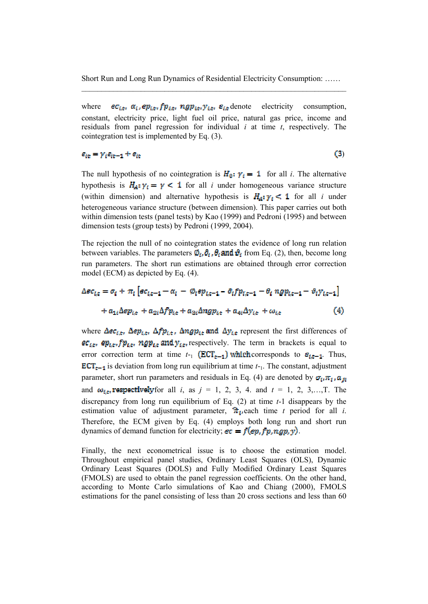$\epsilon_{i,t}$ ,  $\alpha_i$ ,  $\epsilon_{p_i,t}$ ,  $fp_{i,t}$ ,  $ngp_{i,t}$ ,  $y_{i,t}$ ,  $\varepsilon_{i,t}$  denote electricity consumption, where constant, electricity price, light fuel oil price, natural gas price, income and residuals from panel regression for individual  $i$  at time  $t$ , respectively. The cointegration test is implemented by Eq. (3).

## $\varepsilon_{it} = \gamma_i \varepsilon_{it-1} + e_{it}$

 $(3)$ 

The null hypothesis of no cointegration is  $H_0: \gamma_i = 1$  for all i. The alternative hypothesis is  $H_A: \gamma_i = \gamma < 1$  for all i under homogeneous variance structure (within dimension) and alternative hypothesis is  $H_A: \gamma_i < 1$  for all i under heterogeneous variance structure (between dimension). This paper carries out both within dimension tests (panel tests) by Kao (1999) and Pedroni (1995) and between dimension tests (group tests) by Pedroni (1999, 2004).

The rejection the null of no cointegration states the evidence of long run relation between variables. The parameters  $\mathcal{D}_i$ ,  $\mathcal{D}_i$ ,  $\mathcal{D}_i$  and  $\mathcal{D}_i$  from Eq. (2), then, become long run parameters. The short run estimations are obtained through error correction model (ECM) as depicted by Eq. (4).

$$
\Delta ec_{i,t} = \sigma_i + \pi_i \left[ ec_{i,t-1} - \alpha_i - \emptyset_i ep_{i,t-1} - \partial_i f p_{i,t-1} - \theta_i n g p_{i,t-1} - \vartheta_i y_{i,t-1} \right]
$$

$$
+ a_{1i} \Delta ep_{i,t} + a_{2i} \Delta f p_{i,t} + a_{3i} \Delta n g p_{i,t} + a_{4i} \Delta y_{i,t} + \omega_{i,t} \tag{4}
$$

where  $\Delta$ e $c_{i,t}$ ,  $\Delta$ e $p_{i,t}$ ,  $\Delta$ f $p_{i,t}$ ,  $\Delta$ ng $p_{it}$  and  $\Delta y_{i,t}$  represent the first differences of  $ec_{i,t}$ ,  $ep_{i,t}$ ,  $fp_{i,t}$ ,  $ngp_{i,t}$  and  $y_{i,t}$ , respectively. The term in brackets is equal to error correction term at time  $t_{-1}$  (ECT<sub>t-1</sub>) which corresponds to  $\varepsilon_{t,t-1}$ . Thus,  $\mathbf{ECT}_{t-1}$  is deviation from long run equilibrium at time  $t_{-1}$ . The constant, adjustment parameter, short run parameters and residuals in Eq. (4) are denoted by  $\sigma_i$ ,  $\pi_i$ ,  $a_{ji}$ and  $\omega_{i,t}$ , respectively for all i, as  $j = 1, 2, 3, 4$ . and  $t = 1, 2, 3, \ldots, T$ . The discrepancy from long run equilibrium of Eq.  $(2)$  at time  $t-1$  disappears by the estimation value of adjustment parameter,  $\hat{\pi}_{i}$  each time t period for all i. Therefore, the ECM given by Eq. (4) employs both long run and short run dynamics of demand function for electricity;  $ec = f(ep, fp, ngp, y)$ .

Finally, the next econometrical issue is to choose the estimation model. Throughout empirical panel studies, Ordinary Least Squares (OLS), Dynamic Ordinary Least Squares (DOLS) and Fully Modified Ordinary Least Squares (FMOLS) are used to obtain the panel regression coefficients. On the other hand, according to Monte Carlo simulations of Kao and Chiang (2000). FMOLS estimations for the panel consisting of less than 20 cross sections and less than 60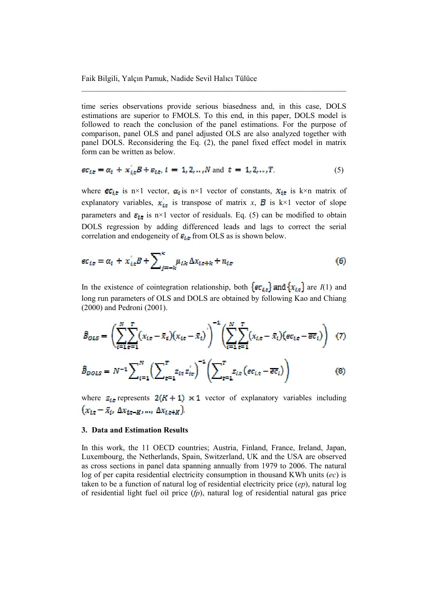time series observations provide serious biasedness and, in this case, DOLS estimations are superior to FMOLS. To this end, in this paper, DOLS model is followed to reach the conclusion of the panel estimations. For the purpose of comparison, panel OLS and panel adjusted OLS are also analyzed together with panel DOLS. Reconsidering the Eq. (2), the panel fixed effect model in matrix form can be written as below.

$$
ec_{i,t} = \alpha_i + x_{i,t} B + \varepsilon_{i,t}, i = 1, 2, \dots, N \text{ and } t = 1, 2, \dots, T. \tag{5}
$$

where  $\epsilon_{i,t}$  is n×1 vector,  $\alpha_i$  is n×1 vector of constants,  $x_{i,t}$  is k×n matrix of explanatory variables,  $x_{ix}$  is transpose of matrix x, **B** is k×1 vector of slope parameters and  $\varepsilon_{i,t}$  is n×1 vector of residuals. Eq. (5) can be modified to obtain DOLS regression by adding differenced leads and lags to correct the serial correlation and endogeneity of  $\varepsilon_{i,\varepsilon}$  from OLS as is shown below.

$$
ec_{i,e} = \alpha_i + x'_{i,e}B + \sum_{j=-k}^{k} \mu_{i,k} \Delta x_{i,e+k} + n_{i,e}
$$
 (6)

In the existence of cointegration relationship, both  $\{ec_{i,\tau}\}\$  and  $\{x_{i,\tau}\}\$  are  $I(1)$  and long run parameters of OLS and DOLS are obtained by following Kao and Chiang  $(2000)$  and Pedroni  $(2001)$ .

$$
\hat{B}_{OLS} = \left(\sum_{i=1}^{N} \sum_{\tau=1}^{T} (x_{i,t} - \bar{x}_i)(x_{i,t} - \bar{x}_i)\right)^{-1} \left(\sum_{i=1}^{N} \sum_{\tau=1}^{T} (x_{i,t} - \bar{x}_i)(\epsilon c_{i,t} - \bar{\epsilon} \bar{c}_i)\right)
$$
(7)

$$
\hat{B}_{DOLS} = N^{-1} \sum_{i=1}^{N} \left( \sum_{t=1}^{T} z_{it} z_{it}' \right)^{-1} \left( \sum_{t=1}^{T} z_{i,t} \left( e c_{i,t} - \overline{e c}_{i} \right) \right)
$$
(8)

where  $z_{i,t}$  represents  $2(K + 1) \times 1$  vector of explanatory variables including  $(x_{i,t} - \bar{x}_i, \Delta x_{i,t-K}, ..., \Delta x_{i,t+K})$ 

#### 3. Data and Estimation Results

In this work, the 11 OECD countries; Austria, Finland, France, Ireland, Japan, Luxembourg, the Netherlands, Spain, Switzerland, UK and the USA are observed as cross sections in panel data spanning annually from 1979 to 2006. The natural log of per capita residential electricity consumption in thousand KWh units  $(ec)$  is taken to be a function of natural log of residential electricity price  $(ep)$ , natural log of residential light fuel oil price  $(p)$ , natural log of residential natural gas price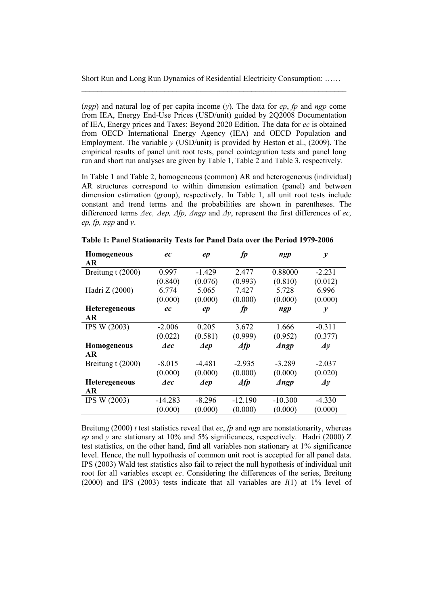(*ngp*) and natural log of per capita income (*y*). The data for *ep*, *fp* and *ngp* come from IEA, Energy End-Use Prices (USD/unit) guided by 2Q2008 Documentation of IEA, Energy prices and Taxes: Beyond 2020 Edition. The data for ec is obtained from OECD International Energy Agency (IEA) and OECD Population and Employment. The variable  $v$  (USD/unit) is provided by Heston et al., (2009). The empirical results of panel unit root tests, panel cointegration tests and panel long run and short run analyses are given by Table 1, Table 2 and Table 3, respectively.

In Table 1 and Table 2, homogeneous (common) AR and heterogeneous (individual) AR structures correspond to within dimension estimation (panel) and between dimension estimation (group), respectively. In Table 1, all unit root tests include constant and trend terms and the probabilities are shown in parentheses. The differenced terms  $\Delta$ ec,  $\Delta$ ep,  $\Delta$ fp,  $\Delta$ ngp and  $\Delta$ y, represent the first differences of ec, ep, fp, ngp and  $y$ .

| Homogeneous          | ec        | ep                            | fp                           | ngp                           | $\mathcal{V}$              |
|----------------------|-----------|-------------------------------|------------------------------|-------------------------------|----------------------------|
| AR                   |           |                               |                              |                               |                            |
| Breitung t (2000)    | 0.997     | $-1.429$                      | 2.477                        | 0.88000                       | $-2.231$                   |
|                      | (0.840)   | (0.076)                       | (0.993)                      | (0.810)                       | (0.012)                    |
| Hadri Z (2000)       | 6.774     | 5.065                         | 7.427                        | 5.728                         | 6.996                      |
|                      | (0.000)   | (0.000)                       | (0.000)                      | (0.000)                       | (0.000)                    |
| <b>Heteregeneous</b> | ec        | ep                            | fp                           | ngp                           | $\boldsymbol{y}$           |
| AR                   |           |                               |                              |                               |                            |
| IPS W (2003)         | $-2.006$  | 0.205                         | 3.672                        | 1.666                         | $-0.311$                   |
|                      | (0.022)   | (0.581)                       | (0.999)                      | (0.952)                       | (0.377)                    |
| <b>Homogeneous</b>   | ⊿ec       | $\boldsymbol{\mathcal{A}}$ ep | $\triangle$ fp               | $\boldsymbol{\varLambda}$ ngp | $\boldsymbol{\varDelta}$ y |
| <b>AR</b>            |           |                               |                              |                               |                            |
| Breitung t (2000)    | $-8.015$  | $-4.481$                      | $-2.935$                     | $-3.289$                      | $-2.037$                   |
|                      | (0.000)   | (0.000)                       | (0.000)                      | (0.000)                       | (0.020)                    |
| <b>Heteregeneous</b> | ⊿ec       | $\boldsymbol{\mathcal{A}}$ ep | $\boldsymbol{\varLambda}$ fp | $\boldsymbol{\varLambda}$ ngp | $\boldsymbol{\varDelta}$ y |
| AR                   |           |                               |                              |                               |                            |
| IPS W (2003)         | $-14.283$ | $-8.296$                      | $-12.190$                    | $-10.300$                     | $-4.330$                   |
|                      | (0.000)   | (0.000)                       | (0.000)                      | (0.000)                       | (0.000)                    |

Table 1: Panel Stationarity Tests for Panel Data over the Period 1979-2006

Breitung (2000) t test statistics reveal that ec, fp and ngp are nonstationarity, whereas ep and v are stationary at 10% and 5% significances, respectively. Hadri (2000) Z test statistics, on the other hand, find all variables non stationary at 1% significance level. Hence, the null hypothesis of common unit root is accepted for all panel data. IPS (2003) Wald test statistics also fail to reject the null hypothesis of individual unit root for all variables except ec. Considering the differences of the series, Breitung (2000) and IPS (2003) tests indicate that all variables are  $I(1)$  at 1% level of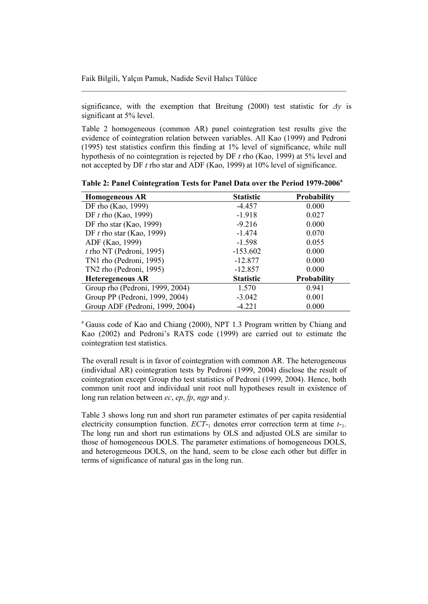significance, with the exemption that Breitung (2000) test statistic for  $\Delta y$  is significant at 5% level.

Table 2 homogeneous (common AR) panel cointegration test results give the evidence of cointegration relation between variables. All Kao (1999) and Pedroni (1995) test statistics confirm this finding at 1% level of significance, while null hypothesis of no cointegration is rejected by DF  $t$  rho (Kao, 1999) at 5% level and not accepted by DF  $t$  rho star and ADF (Kao, 1999) at 10% level of significance.

| <b>Homogeneous AR</b>           | <b>Statistic</b> | <b>Probability</b> |
|---------------------------------|------------------|--------------------|
| DF rho (Kao, 1999)              | $-4.457$         | 0.000              |
| DF $t$ rho (Kao, 1999)          | $-1.918$         | 0.027              |
| DF rho star (Kao, 1999)         | $-9.216$         | 0.000              |
| DF $t$ rho star (Kao, 1999)     | $-1.474$         | 0.070              |
| ADF (Kao, 1999)                 | $-1.598$         | 0.055              |
| $t$ rho NT (Pedroni, 1995)      | $-153.602$       | 0.000              |
| TN1 rho (Pedroni, 1995)         | $-12.877$        | 0.000              |
| TN2 rho (Pedroni, 1995)         | $-12.857$        | 0.000              |
| <b>Heteregeneous AR</b>         | <b>Statistic</b> | <b>Probability</b> |
| Group rho (Pedroni, 1999, 2004) | 1.570            | 0.941              |
| Group PP (Pedroni, 1999, 2004)  | $-3.042$         | 0.001              |
| Group ADF (Pedroni, 1999, 2004) | $-4.221$         | 0.000              |

Table 2: Panel Cointegration Tests for Panel Data over the Period 1979-2006<sup>a</sup>

<sup>a</sup> Gauss code of Kao and Chiang (2000), NPT 1.3 Program written by Chiang and Kao (2002) and Pedroni's RATS code (1999) are carried out to estimate the cointegration test statistics.

The overall result is in favor of cointegration with common AR. The heterogeneous (individual AR) cointegration tests by Pedroni (1999, 2004) disclose the result of cointegration except Group rho test statistics of Pedroni (1999, 2004). Hence, both common unit root and individual unit root null hypotheses result in existence of long run relation between  $ec$ ,  $ep$ ,  $fp$ ,  $ngp$  and  $y$ .

Table 3 shows long run and short run parameter estimates of per capita residential electricity consumption function.  $ECT_{-1}$  denotes error correction term at time  $t_{-1}$ . The long run and short run estimations by OLS and adjusted OLS are similar to those of homogeneous DOLS. The parameter estimations of homogeneous DOLS, and heterogeneous DOLS, on the hand, seem to be close each other but differ in terms of significance of natural gas in the long run.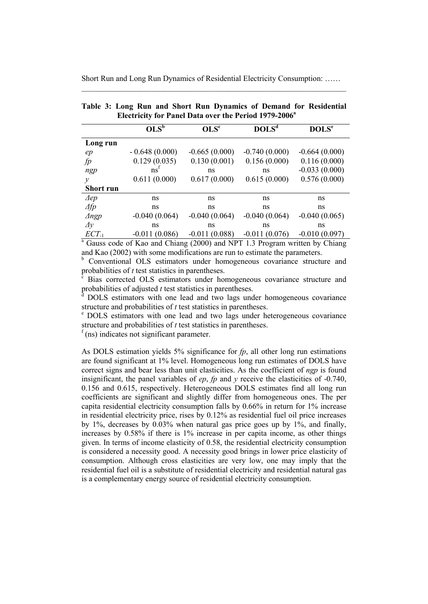|                  | $OLS^b$         | OLS <sup>c</sup> | DOLS <sup>d</sup> | DOLS <sup>e</sup> |
|------------------|-----------------|------------------|-------------------|-------------------|
| Long run         |                 |                  |                   |                   |
| ep               | $-0.648(0.000)$ | $-0.665(0.000)$  | $-0.740(0.000)$   | $-0.664(0.000)$   |
| fp               | 0.129(0.035)    | 0.130(0.001)     | 0.156(0.000)      | 0.116(0.000)      |
| ngp              | ns              | ns               | ns                | $-0.033(0.000)$   |
| $\mathcal V$     | 0.611(0.000)    | 0.617(0.000)     | 0.615(0.000)      | 0.576(0.000)      |
| <b>Short run</b> |                 |                  |                   |                   |
| $\Delta ep$      | ns              | ns               | ns                | ns                |
| $\varDelta f p$  | ns              | ns               | ns                | ns                |
| $\triangle$ ngp  | $-0.040(0.064)$ | $-0.040(0.064)$  | $-0.040(0.064)$   | $-0.040(0.065)$   |
| $\Delta y$       | ns              | ns               | ns                | ns                |
| $ECT$ .          | -0.011 (0.086)  | -0.011 (0.088)   | -0.011 (0.076)    | -0.010 (0.097)    |

|                                                                   |  |  |  |  |  |  |  |  |  |  | Table 3: Long Run and Short Run Dynamics of Demand for Residential |
|-------------------------------------------------------------------|--|--|--|--|--|--|--|--|--|--|--------------------------------------------------------------------|
| Electricity for Panel Data over the Period 1979-2006 <sup>a</sup> |  |  |  |  |  |  |  |  |  |  |                                                                    |

 $\frac{ECT_1}{^{a} }$  Gauss code of Kao and Chiang (2000) and NPT 1.3 Program written by Chiang and Kao (2002) with some modifications are run to estimate the parameters.

<sup>b</sup> Conventional OLS estimators under homogeneous covariance structure and probabilities of  $t$  test statistics in parentheses.

Bias corrected OLS estimators under homogeneous covariance structure and probabilities of adjusted  $t$  test statistics in parentheses.

DOLS estimators with one lead and two lags under homogeneous covariance structure and probabilities of  $t$  test statistics in parentheses.

 $\mathbf{e}$ DOLS estimators with one lead and two lags under heterogeneous covariance structure and probabilities of  $t$  test statistics in parentheses.

 $f$ (ns) indicates not significant parameter.

As DOLS estimation yields 5% significance for  $fp$ , all other long run estimations are found significant at 1% level. Homogeneous long run estimates of DOLS have correct signs and bear less than unit elasticities. As the coefficient of ngp is found insignificant, the panel variables of  $ep$ ,  $fp$  and  $y$  receive the elasticities of -0.740, 0.156 and 0.615, respectively. Heterogeneous DOLS estimates find all long run coefficients are significant and slightly differ from homogeneous ones. The per capita residential electricity consumption falls by 0.66% in return for 1% increase in residential electricity price, rises by 0.12% as residential fuel oil price increases by 1%, decreases by  $0.03\%$  when natural gas price goes up by 1%, and finally, increases by 0.58% if there is 1% increase in per capita income, as other things given. In terms of income elasticity of 0.58, the residential electricity consumption is considered a necessity good. A necessity good brings in lower price elasticity of consumption. Although cross elasticities are very low, one may imply that the residential fuel oil is a substitute of residential electricity and residential natural gas is a complementary energy source of residential electricity consumption.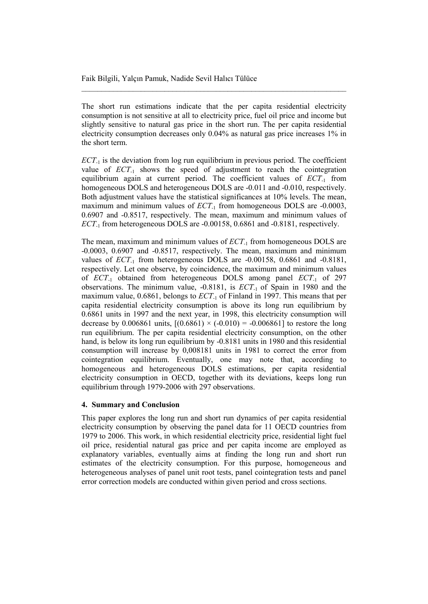The short run estimations indicate that the per capita residential electricity consumption is not sensitive at all to electricity price, fuel oil price and income but slightly sensitive to natural gas price in the short run. The per capita residential electricity consumption decreases only 0.04% as natural gas price increases 1% in the short term.

 $ECT<sub>-1</sub>$  is the deviation from log run equilibrium in previous period. The coefficient value of  $ECT_{-1}$  shows the speed of adjustment to reach the cointegration equilibrium again at current period. The coefficient values of  $ECT<sub>-1</sub>$  from homogeneous DOLS and heterogeneous DOLS are -0.011 and -0.010, respectively. Both adjustment values have the statistical significances at 10% levels. The mean, maximum and minimum values of  $ECT<sub>-1</sub>$  from homogeneous DOLS are -0.0003, 0.6907 and -0.8517, respectively. The mean, maximum and minimum values of  $ECT<sub>-1</sub>$  from heterogeneous DOLS are -0.00158, 0.6861 and -0.8181, respectively.

The mean, maximum and minimum values of  $ECT_{-1}$  from homogeneous DOLS are  $-0.0003$ ,  $0.6907$  and  $-0.8517$ , respectively. The mean, maximum and minimum values of  $ECT_{-1}$  from heterogeneous DOLS are -0.00158, 0.6861 and -0.8181, respectively. Let one observe, by coincidence, the maximum and minimum values of ECT<sub>-1</sub> obtained from heterogeneous DOLS among panel ECT<sub>-1</sub> of 297 observations. The minimum value,  $-0.8181$ , is  $ECT<sub>1</sub>$  of Spain in 1980 and the maximum value,  $0.6861$ , belongs to  $ECT<sub>-1</sub>$  of Finland in 1997. This means that per capita residential electricity consumption is above its long run equilibrium by 0.6861 units in 1997 and the next year, in 1998, this electricity consumption will decrease by 0.006861 units,  $[(0.6861) \times (-0.010) = -0.006861]$  to restore the long run equilibrium. The per capita residential electricity consumption, on the other hand, is below its long run equilibrium by -0.8181 units in 1980 and this residential consumption will increase by 0,008181 units in 1981 to correct the error from cointegration equilibrium. Eventually, one may note that, according to homogeneous and heterogeneous DOLS estimations, per capita residential electricity consumption in OECD, together with its deviations, keeps long run equilibrium through 1979-2006 with 297 observations.

#### 4. Summary and Conclusion

This paper explores the long run and short run dynamics of per capita residential electricity consumption by observing the panel data for 11 OECD countries from 1979 to 2006. This work, in which residential electricity price, residential light fuel oil price, residential natural gas price and per capita income are employed as explanatory variables, eventually aims at finding the long run and short run estimates of the electricity consumption. For this purpose, homogeneous and heterogeneous analyses of panel unit root tests, panel cointegration tests and panel error correction models are conducted within given period and cross sections.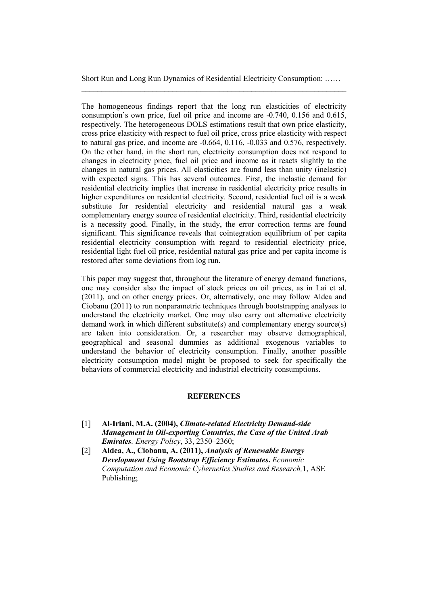Short Run and Long Run Dynamics of Residential Electricity Consumption: ...... '''''''''''''''''''''''''''''''''''''''''''''''''''''''''''''''''''

The homogeneous findings report that the long run elasticities of electricity consumption's own price, fuel oil price and income are  $-0.740$ ,  $0.156$  and  $0.615$ , respectively. The heterogeneous DOLS estimations result that own price elasticity, cross price elasticity with respect to fuel oil price, cross price elasticity with respect to natural gas price, and income are  $-0.664$ ,  $0.116$ ,  $-0.033$  and  $0.576$ , respectively. On the other hand, in the short run, electricity consumption does not respond to changes in electricity price, fuel oil price and income as it reacts slightly to the changes in natural gas prices. All elasticities are found less than unity (inelastic) with expected signs. This has several outcomes. First, the inelastic demand for residential electricity implies that increase in residential electricity price results in higher expenditures on residential electricity. Second, residential fuel oil is a weak substitute for residential electricity and residential natural gas a weak complementary energy source of residential electricity. Third, residential electricity is a necessity good. Finally, in the study, the error correction terms are found significant. This significance reveals that cointegration equilibrium of per capita residential electricity consumption with regard to residential electricity price, residential light fuel oil price, residential natural gas price and per capita income is restored after some deviations from log run.

This paper may suggest that, throughout the literature of energy demand functions, one may consider also the impact of stock prices on oil prices, as in Lai et al.  $(2011)$ , and on other energy prices. Or, alternatively, one may follow Aldea and Ciobanu (2011) to run nonparametric techniques through bootstrapping analyses to understand the electricity market. One may also carry out alternative electricity demand work in which different substitute(s) and complementary energy source(s) are taken into consideration. Or, a researcher may observe demographical, geographical and seasonal dummies as additional exogenous variables to understand the behavior of electricity consumption. Finally, another possible electricity consumption model might be proposed to seek for specifically the behaviors of commercial electricity and industrial electricity consumptions.

#### **REFERENCES**

- [1] Al-Iriani, M.A. (2004), *Climate-related Electricity Demand-side Management in Oilexporting Countries, the Case of the United Arab Emirates. Energy Policy*, 33, 2350–2360;
- P+Q **Aldea, A., Ciobanu, A. (2011),** *Analysis of Renewable Energy Development Using Bootstrap Efficiency Estimates***.** *Economic Computation and Economic Cybernetics Studies and Research, 1, ASE* Publishing: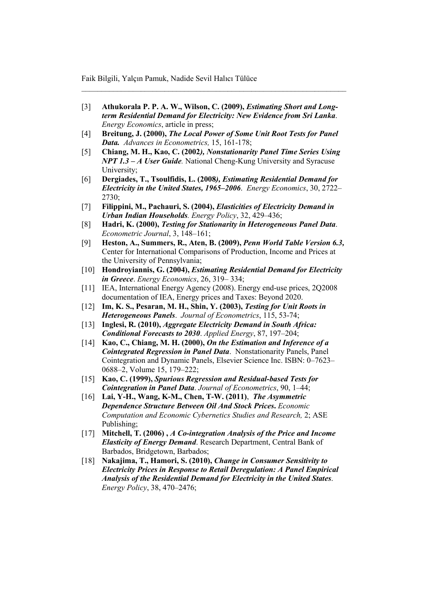P8Q **Athukorala P. P. A. W., Wilson, C. (2009),** *Estimating Short and Long term Residential Demand for Electricity: New Evidence from Sri Lanka Energy Economics*, article in press:

'''''''''''''''''''''''''''''''''''''''''''''''''''''''''''''''''''

- [4] Breitung, J. (2000), *The Local Power of Some Unit Root Tests for Panel Data.* Advances in Econometrics, 15, 161-178;
- P5Q **Chiang, M. H., Kao, C. (2002***), Nonstationarity Panel Time Series Using NPT 1.3 – A User Guide*. National Cheng-Kung University and Syracuse University:
- P7Q **Dergiades, T., Tsoulfidis, L. (2008***), Estimating Residential Demand for Electricity in the United States, 1965–2006Energy Economics*, 30, 2722– 2730:
- P9Q **Filippini, M., Pachauri, S. (2004),** *Elasticities of Electricity Demand in Urban Indian Households. Energy Policy, 32, 429-436;*
- [8] **Hadri, K. (2000),** *Testing for Stationarity in Heterogeneous Panel Data. Econometric Journal*, 3, 148-161;
- P2Q **Heston, A., Summers, R., Aten, B. (2009),** *Penn World Table Version 6.3,* Center for International Comparisons of Production, Income and Prices at the University of Pennsylvania;
- [10] Hondroyiannis, G. (2004), *Estimating Residential Demand for Electricity in Greece. Energy Economics*, 26, 319-334;
- [11] IEA, International Energy Agency (2008). Energy end-use prices, 2Q2008 documentation of IEA, Energy prices and Taxes: Beyond 2020.
- P-+Q **Im, K. S., Pesaran, M. H., Shin, Y. (2003),** *Testing for Unit Roots in Heterogeneous Panels. Journal of Econometrics*, 115, 53-74;
- P-8Q **Inglesi, R. (2010),** *Aggregate Electricity Demand in South Africa: Conditional Forecasts to 2030. Applied Energy*, 87, 197-204;
- [14] **Kao, C., Chiang, M. H. (2000), On the Estimation and Inference of a Cointegrated Regression in Panel Data**. Nonstationarity Panels, Panel Cointegration and Dynamic Panels, Elsevier Science Inc. ISBN: 0-7623-0688–2, Volume 15, 179–222;
- [15] Kao, C. (1999), *Spurious Regression and Residual-based Tests for Cointegration in Panel Data. Journal of Econometrics*, 90, 1-44;
- [16] Lai, Y-H., Wang, K-M., Chen, T-W. (2011)*, The Asymmetric Dependence Structure Between Oil And Stock Prices***.** *Economic Computation and Economic Cybernetics Studies and Research, 2; ASE* Publishing:
- P-9Q **Mitchell, T. (2006) ,** *A Cointegration Analysis of the Price and Income*  **Elasticity of Energy Demand**. Research Department, Central Bank of Barbados, Bridgetown, Barbados;
- P-3Q **Nakajima, T., Hamori, S. (2010),** *Change in Consumer Sensitivity to Electricity Prices in Response to Retail Deregulation: A Panel Empirical Analysis of the Residential Demand for Electricity in the United States Energy Policy*, 38, 470–2476;